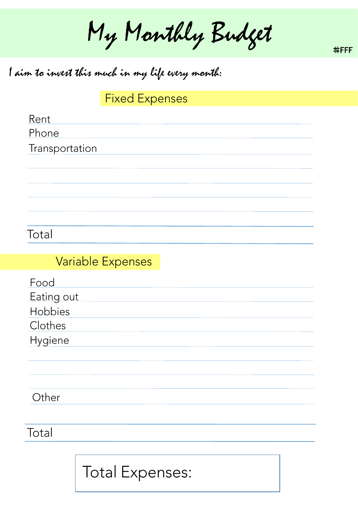My Manthly Budget

#FFFF

# I aim to invest this much in my life every month:

**Fixed Expenses** 

Rent

Phone

Transportation

Total

#### **Variable Expenses**

Food

Eating out

Hobbies

Clothes

Hygiene

Other

Total

**Total Expenses:**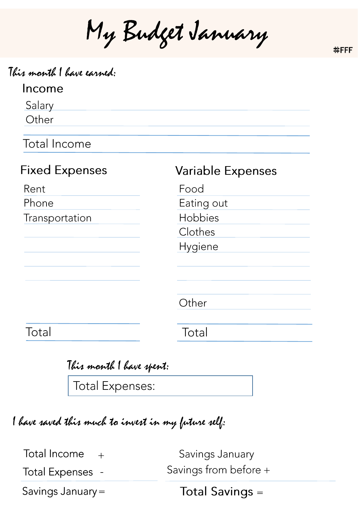My Budget January

#FFFF

| This month I have earned: |                          |
|---------------------------|--------------------------|
| Income                    |                          |
| Salary                    |                          |
| Other                     |                          |
| <b>Total Income</b>       |                          |
| <b>Fixed Expenses</b>     | <b>Variable Expenses</b> |
| Rent                      | Food                     |
| Phone                     | Eating out               |
| Transportation            | Hobbies                  |
|                           | Clothes                  |
|                           | <b>Hygiene</b>           |
|                           |                          |
|                           | Other                    |
| Total                     | Total                    |

| This month I have spent: |  |
|--------------------------|--|
|                          |  |

Total Expenses:

I have saved this much to invest in my future self:

Total Income  $+$ 

Total Expenses -

Savings January Savings from before +

Savings January =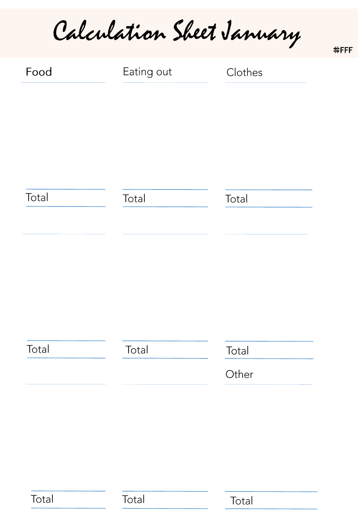Calculation Sheet January

| Food  | Eating out | Clothes |
|-------|------------|---------|
|       |            |         |
|       |            |         |
|       |            |         |
|       |            |         |
| Total | Total      | Total   |
|       |            |         |
|       |            |         |
|       |            |         |
|       |            |         |
|       |            |         |
| Total | Total      | Total   |
|       |            | Other   |
|       |            |         |

Total

Total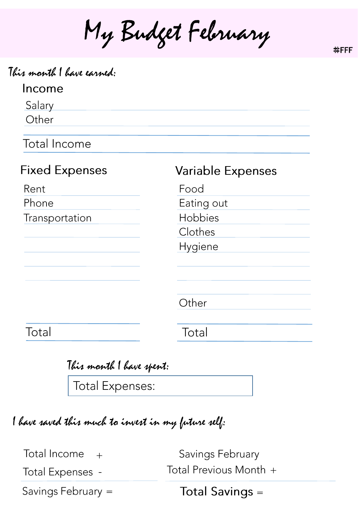My Budget February

| This month I have earned: |                          |
|---------------------------|--------------------------|
| Income                    |                          |
| Salary                    |                          |
| Other                     |                          |
| <b>Total Income</b>       |                          |
| <b>Fixed Expenses</b>     | <b>Variable Expenses</b> |
| Rent                      | Food                     |
| Phone                     | Eating out               |
| Transportation            | Hobbies                  |
|                           | Clothes                  |
|                           | Hygiene                  |
|                           |                          |
|                           | Other                    |
| Total                     | Total                    |
|                           |                          |

| This manth I have spent:                                                                                                                                                                                                                                                                                                                                                                                                               |  |
|----------------------------------------------------------------------------------------------------------------------------------------------------------------------------------------------------------------------------------------------------------------------------------------------------------------------------------------------------------------------------------------------------------------------------------------|--|
| $\sqrt{\frac{1}{\sum_{x} \left(1 - \frac{1}{\sqrt{1 - \frac{1}{\sqrt{1 - \frac{1}{\sqrt{1 - \frac{1}{\sqrt{1 - \frac{1}{\sqrt{1 - \frac{1}{\sqrt{1 - \frac{1}{\sqrt{1 - \frac{1}{\sqrt{1 - \frac{1}{\sqrt{1 - \frac{1}{\sqrt{1 - \frac{1}{\sqrt{1 - \frac{1}{\sqrt{1 - \frac{1}{\sqrt{1 - \frac{1}{\sqrt{1 - \frac{1}{\sqrt{1 - \frac{1}{\sqrt{1 - \frac{1}{\sqrt{1 - \frac{1}{\sqrt{1 - \frac{1}{\sqrt{1 - \frac{1}{\sqrt{1 - \frac{$ |  |

lotal Expenses:

I have saved this much to invest in my future self:

Total Income  $+$ 

Total Expenses -

Savings February Total Previous Month +

Savings February =

**Total Savings =** 

#FFFF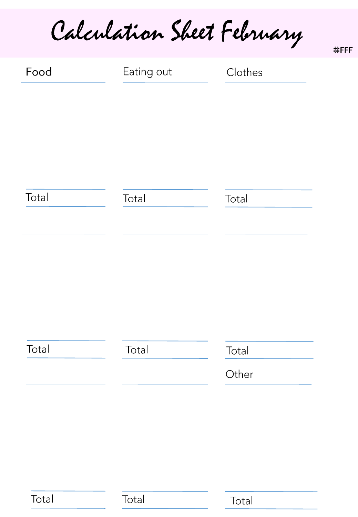Calculation Sheet February

| Food  | Eating out | Clothes |
|-------|------------|---------|
|       |            |         |
|       |            |         |
|       |            |         |
| Total | Total      | Total   |
|       |            |         |
|       |            |         |
|       |            |         |
|       |            |         |
| Total | Total      | Total   |
|       |            |         |
|       |            | Other   |

Total

Total

Total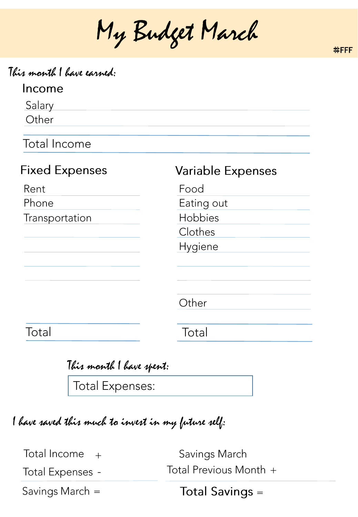My Budget March

#FFFF

| Income                |                          |
|-----------------------|--------------------------|
| Salary                |                          |
| Other                 |                          |
| <b>Total Income</b>   |                          |
| <b>Fixed Expenses</b> | <b>Variable Expenses</b> |
| Rent                  | Food                     |
| Phone                 | Eating out               |
| Transportation        | Hobbies                  |
|                       | Clothes                  |
|                       | Hygiene                  |
|                       |                          |
|                       | Other                    |
| Total                 | Total                    |

| This month I have spent:                                                                     |  |  |
|----------------------------------------------------------------------------------------------|--|--|
| $\left  \begin{array}{cccc} \text{ }\\ \text{ }\\ \text{ }\\ \text{ }\\ \end{array} \right.$ |  |  |

Total Expenses:

I have saved this much to invest in my future self:

Total Income  $+$ 

Total Expenses -

Savings March Total Previous Month +

Savings March =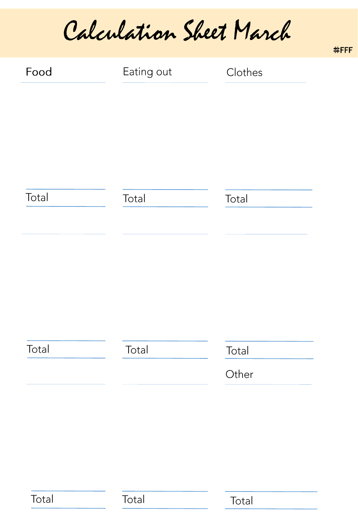Calculation Sheet March

| Food  | Eating out | Clothes        |
|-------|------------|----------------|
| Total | Total      | Total          |
| Total | Total      | Total<br>Other |

Total

Total

Total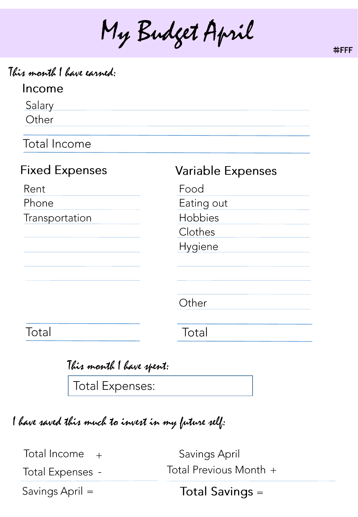My Budget April

| This month I have earned:<br>Income |                          |
|-------------------------------------|--------------------------|
| Salary                              |                          |
| Other                               |                          |
| Total Income                        |                          |
| <b>Fixed Expenses</b>               | <b>Variable Expenses</b> |
| Rent                                | Food                     |
| Phone                               | Eating out               |
| Transportation                      | Hobbies                  |
|                                     | Clothes                  |
|                                     | Hygiene                  |
|                                     |                          |
|                                     | Other                    |
| Total                               | Total                    |
|                                     |                          |

|                        | This month I have spent: |
|------------------------|--------------------------|
| $\sqrt{1+\frac{1}{2}}$ |                          |

Total Expenses:

I have saved this much to invest in my future self:

Total Income  $+$ 

**Total Expenses -**

Savings April Total Previous Month +

Savings April =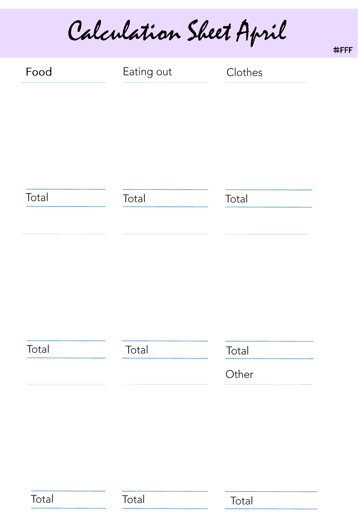Calculation Sheet April

| Food  | Eating out | Clothes |
|-------|------------|---------|
|       |            |         |
|       |            |         |
|       |            |         |
| Total | Total      | Total   |
|       |            |         |
|       |            |         |
|       |            |         |
|       |            |         |
|       |            |         |
| Total | Total      | Total   |
|       |            | Other   |

Total

Total

Total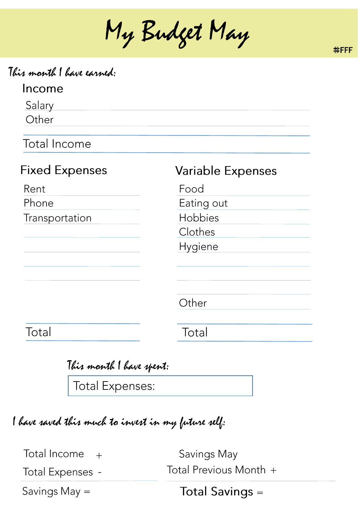My Budget May

| This month I have earned: |  |  |  |
|---------------------------|--|--|--|
|---------------------------|--|--|--|

### Income

Salary Other

**Total Income** 

| <b>Fixed Expenses</b> | <b>Variable Expenses</b> |
|-----------------------|--------------------------|
| Rent                  | Food                     |
| Phone                 | Eating out               |
| Transportation        | Hobbies                  |
|                       | Clothes                  |
|                       | Hygiene                  |
|                       |                          |
|                       |                          |
|                       | Other                    |
| Total                 | Total                    |
|                       |                          |

| This month I have spent: |  |  |
|--------------------------|--|--|
|                          |  |  |

Total Expenses:

I have saved this much to invest in my future self:

Total Income  $+$ 

**Total Expenses -**

Savings May Total Previous Month +

Savings May =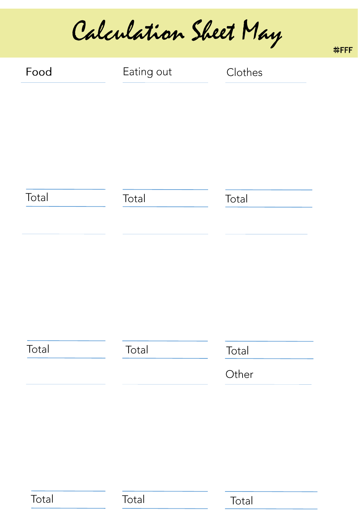Calculation Sheet May

| Food  | Eating out | Clothes |
|-------|------------|---------|
|       |            |         |
|       |            |         |
|       |            |         |
|       |            |         |
| Total | Total      | Total   |
|       |            |         |
|       |            |         |
|       |            |         |
|       |            |         |
|       |            |         |
| Total | Total      | Total   |
|       |            | Other   |

Total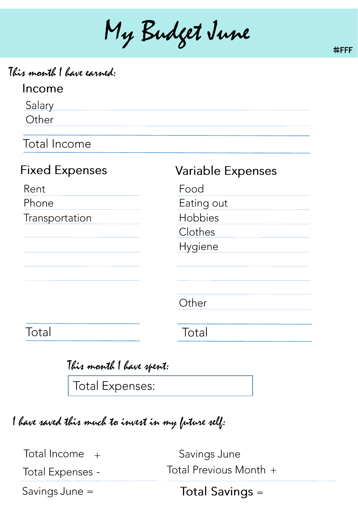My Budget June

| This month I have earned: |  |  |  |
|---------------------------|--|--|--|
|---------------------------|--|--|--|

### Income

Salary Other

**Total Income** 

| <b>Fixed Expenses</b> | <b>Variable Expenses</b> |
|-----------------------|--------------------------|
| Rent                  | Food                     |
| Phone                 | Eating out               |
| Transportation        | Hobbies                  |
|                       | Clothes                  |
|                       | Hygiene                  |
|                       |                          |
|                       |                          |
|                       | Other                    |
| Total                 | Total                    |
|                       |                          |

| This month I have spent: |  |  |
|--------------------------|--|--|
|                          |  |  |

**Total Expenses:** 

I have saved this much to invest in my future self:

Total Income  $+$ 

Total Expenses -

Savings June Total Previous Month +

Savings June =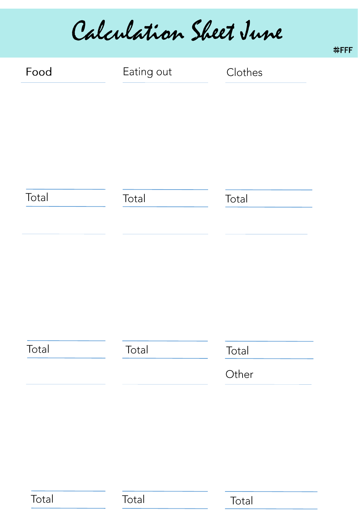Calculation Sheet June

| Food  | Eating out | Clothes        |
|-------|------------|----------------|
| Total | Total      | Total          |
|       |            |                |
|       |            |                |
| Total | Total      | Total<br>Other |

Total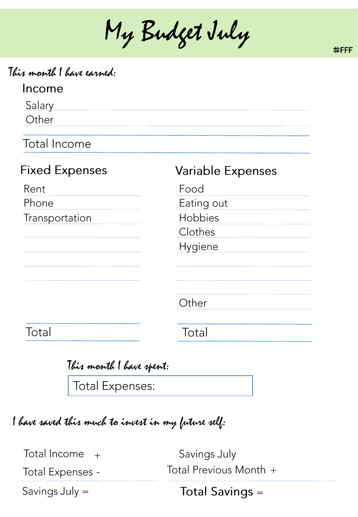My Budget July

| This month I have earned: |  |  |  |
|---------------------------|--|--|--|
|---------------------------|--|--|--|

### Income

Salary Other

**Total Income** 

| <b>Fixed Expenses</b> | <b>Variable Expenses</b> |
|-----------------------|--------------------------|
| Rent                  | Food                     |
| Phone                 | Eating out               |
| Transportation        | Hobbies                  |
|                       | Clothes                  |
|                       | Hygiene                  |
|                       |                          |
|                       | Other                    |
| Total                 | Total                    |

|  | This month I have spent: |  |
|--|--------------------------|--|
|  |                          |  |

**Total Expenses:** 

I have saved this much to invest in my future self:

Total Income  $+$ 

Total Expenses -

Savings July Total Previous Month +

Savings July =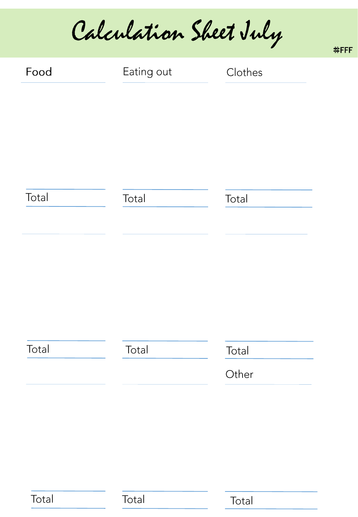Calculation Sheet July

| Food  | Eating out | Clothes |
|-------|------------|---------|
|       |            |         |
|       |            |         |
|       |            |         |
| Total | Total      | Total   |
|       |            |         |
|       |            |         |
|       |            |         |
|       |            |         |
| Total | Total      | Total   |
|       |            | Other   |

Total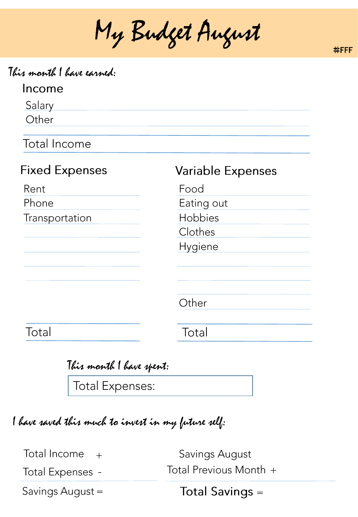My Budget August



### Income

Salary Other

Total Income

| <b>Variable Expenses</b> |
|--------------------------|
| Food                     |
| Eating out               |
| Hobbies                  |
| Clothes                  |
| Hygiene                  |
|                          |
|                          |
|                          |
| Other                    |
|                          |
| Total                    |
|                          |

| This month I have spent:            |  |  |
|-------------------------------------|--|--|
| $\sqrt{1 + \sqrt{1 + \frac{1}{2}}}$ |  |  |

Total Expenses:

I have saved this much to invest in my future self:

Total Income  $+$ 

Total Expenses -

Savings August Total Previous Month +

Savings August =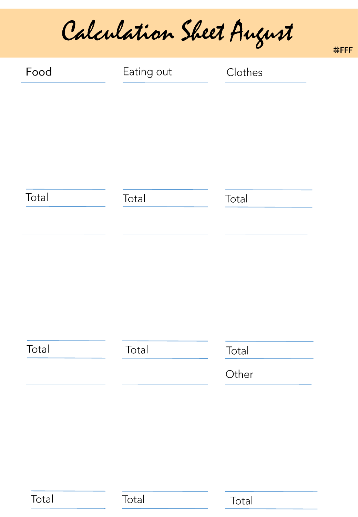Calculation Sheet August

| Food  | Eating out | Clothes |
|-------|------------|---------|
|       |            |         |
|       |            |         |
|       |            |         |
| Total | Total      | Total   |
|       |            |         |
|       |            |         |
|       |            |         |
|       |            |         |
|       |            |         |
| Total | Total      | Total   |
|       |            | Other   |

Total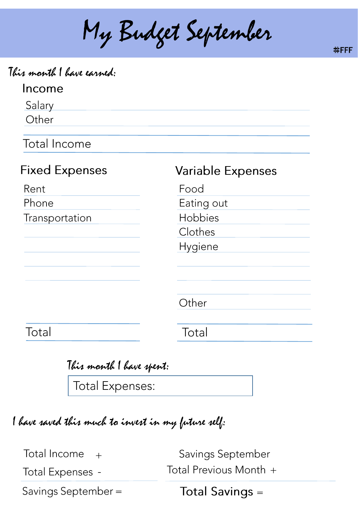My Budget September

#FFFF

| This month I have earned: |  |  |  |
|---------------------------|--|--|--|
|---------------------------|--|--|--|

| Income |  |
|--------|--|
|--------|--|

Salary Other

Total Income

| <b>Fixed Expenses</b> | <b>Variable Expenses</b> |
|-----------------------|--------------------------|
| Rent                  | Food                     |
| Phone                 | Eating out               |
| Transportation        | Hobbies                  |
|                       | Clothes                  |
|                       | Hygiene                  |
|                       |                          |
|                       |                          |
|                       |                          |
|                       | Other                    |
|                       |                          |
| Total                 | Total                    |

|                           | This month I have spent: |  |
|---------------------------|--------------------------|--|
| $\sqrt{2}$ and $\sqrt{2}$ |                          |  |

Total Expenses:

I have saved this much to invest in my future self:

Total Income  $+$ 

Total Expenses -

Savings September Total Previous Month +

Savings September =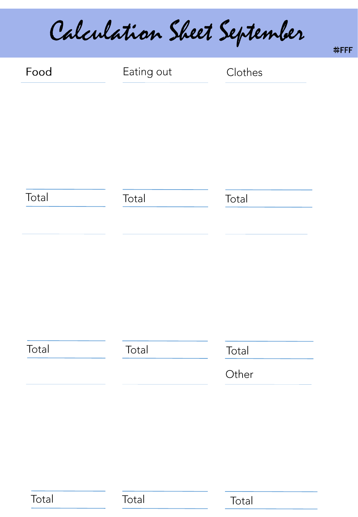Calculation Sheet September

| Food  | Eating out | Clothes |
|-------|------------|---------|
|       |            |         |
|       |            |         |
|       |            |         |
| Total | Total      | Total   |
|       |            |         |
|       |            |         |
|       |            |         |
|       |            |         |
| Total | Total      | Total   |
|       |            | Other   |

Total

Total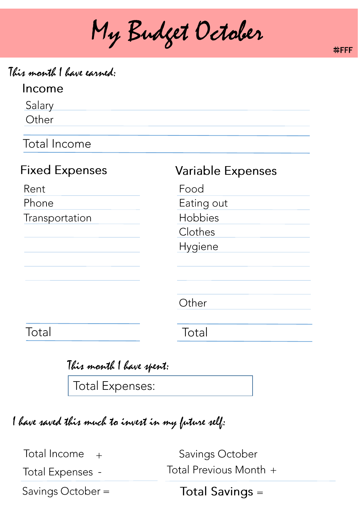My Budget October

This month I have earned:

# Income

Salary Other

Total Income

| <b>Fixed Expenses</b> | <b>Variable Expenses</b> |
|-----------------------|--------------------------|
| Rent                  | Food                     |
| Phone                 | Eating out               |
| Transportation        | Hobbies                  |
|                       | Clothes                  |
|                       | Hygiene                  |
|                       |                          |
|                       |                          |
|                       | Other                    |
| Total                 | Total                    |
|                       |                          |

|  | This month I have spent: |
|--|--------------------------|
|  |                          |

Total Expenses:

I have saved this much to invest in my future self:

Total Income  $+$ 

Total Expenses -

Savings October Total Previous Month +

Savings October =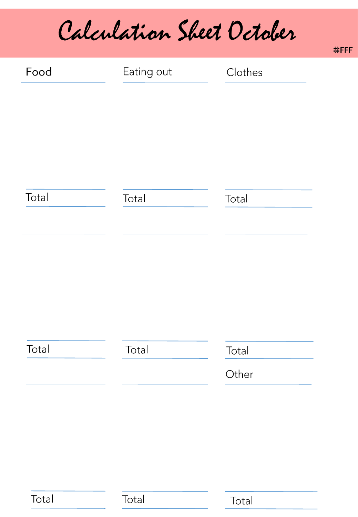Calculation Sheet October

| Food  | Eating out | Clothes |
|-------|------------|---------|
|       |            |         |
|       |            |         |
|       |            |         |
| Total | Total      | Total   |
|       |            |         |
|       |            |         |
|       |            |         |
|       |            |         |
| Total | Total      | Total   |
|       |            | Other   |
|       |            |         |

Total

Total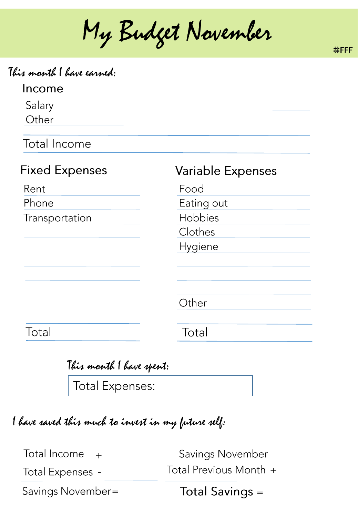My Budget November

| <u>Income</u>         |                          |
|-----------------------|--------------------------|
| Salary                |                          |
| Other                 |                          |
| Total Income          |                          |
| <b>Fixed Expenses</b> | <b>Variable Expenses</b> |
| Rent                  | Food                     |
| Phone                 | Eating out               |
| Transportation        | Hobbies                  |
|                       | Clothes                  |
|                       | Hygiene                  |
|                       |                          |
|                       | Other                    |
| Total                 | Total                    |

| This month I have spent: |
|--------------------------|
| Total Expenses:          |

I have saved this much to invest in my future self:

Total Income  $+$ 

This month I have earned:

Total Expenses -

Savings November Total Previous Month +

Savings November=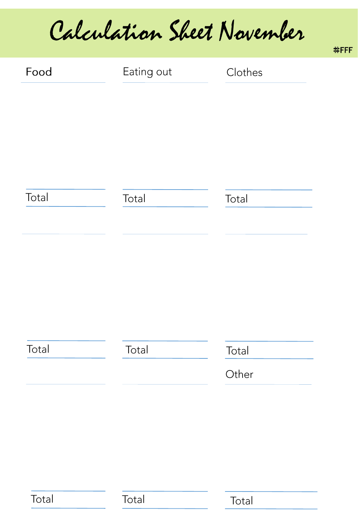Calculation Sheet November

| Food  | Eating out | Clothes |
|-------|------------|---------|
|       |            |         |
|       |            |         |
|       |            |         |
|       |            |         |
| Total | Total      | Total   |
|       |            |         |
|       |            |         |
|       |            |         |
|       |            |         |
|       |            |         |
| Total | Total      | Total   |
|       |            | Other   |

Total

Total

Total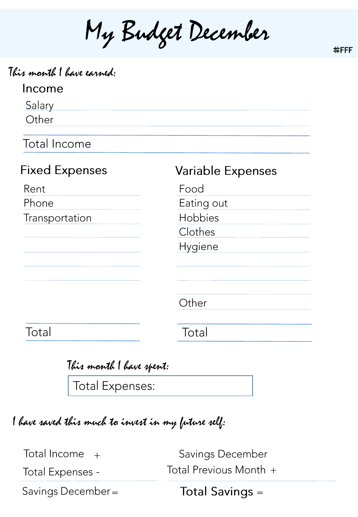My Budget December

| This month I have earned: |                          |
|---------------------------|--------------------------|
| Income                    |                          |
| Salary                    |                          |
| Other                     |                          |
| <b>Total Income</b>       |                          |
| <b>Fixed Expenses</b>     | <b>Variable Expenses</b> |
| Rent                      | Food                     |
| Phone                     | Eating out               |
| Transportation            | Hobbies                  |
|                           | Clothes                  |
|                           | <b>Hygiene</b>           |
|                           |                          |
|                           |                          |
|                           | Other                    |
| Total                     | Total                    |

| This month I have spent: |
|--------------------------|
| Total Expenses:          |

I have saved this much to invest in my future self:

Total Income  $+$ 

**Total Expenses -**

Savings December Total Previous Month +

Savings December=